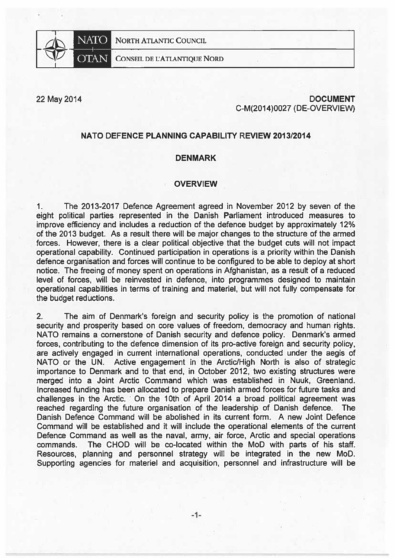

NORTH ATLANTIC COUNCIL

### **CONSEIL DE L'ATLANTIQUE NORD**

22 May 2014

# **DOCUMENT** C-M(2014)0027 (DE-OVERVIEW)

## NATO DEFENCE PLANNING CAPABILITY REVIEW 2013/2014

## **DENMARK**

#### **OVERVIEW**

 $1.$ The 2013-2017 Defence Agreement agreed in November 2012 by seven of the eight political parties represented in the Danish Parliament introduced measures to improve efficiency and includes a reduction of the defence budget by approximately 12% of the 2013 budget. As a result there will be major changes to the structure of the armed forces. However, there is a clear political objective that the budget cuts will not impact operational capability. Continued participation in operations is a priority within the Danish defence organisation and forces will continue to be configured to be able to deploy at short notice. The freeing of money spent on operations in Afghanistan, as a result of a reduced level of forces, will be reinvested in defence, into programmes designed to maintain operational capabilities in terms of training and materiel, but will not fully compensate for the budget reductions.

 $2.$ The aim of Denmark's foreign and security policy is the promotion of national security and prosperity based on core values of freedom, democracy and human rights. NATO remains a cornerstone of Danish security and defence policy. Denmark's armed forces, contributing to the defence dimension of its pro-active foreign and security policy, are actively engaged in current international operations, conducted under the aegis of NATO or the UN. Active engagement in the Arctic/High North is also of strategic importance to Denmark and to that end, in October 2012, two existing structures were merged into a Joint Arctic Command which was established in Nuuk, Greenland. Increased funding has been allocated to prepare Danish armed forces for future tasks and challenges in the Arctic. On the 10th of April 2014 a broad political agreement was reached regarding the future organisation of the leadership of Danish defence. The Danish Defence Command will be abolished in its current form. A new Joint Defence Command will be established and it will include the operational elements of the current Defence Command as well as the naval, army, air force, Arctic and special operations commands. The CHOD will be co-located within the MoD with parts of his staff. Resources, planning and personnel strategy will be integrated in the new MoD. Supporting agencies for materiel and acquisition, personnel and infrastructure will be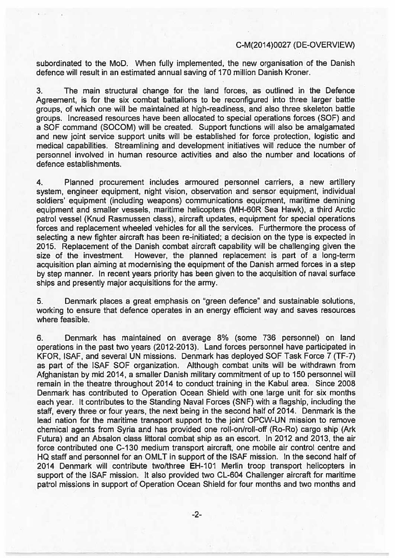## C-M(2014)0027 (DE-OVERVlE

subordinated to the MoD. When fully implemented, the new organisation of the Danish defence will result in an estimated annual saving of 170 million Danish Kroner.

3. The main structural change for the land forces, as outlined in the Defence Agreement, is for the six combat baftalions to be reconfigured into three larger battle groups, of which one will be maintained at high-readiness, and also three skeleton battle groups. lncreased resources have been allocated to special operations forces (SOF) and <sup>a</sup> SOF command (SOCOM) will be created. Support functions will also be amalgamated and new joint service support units will be established for force protection, logistic and medical capabilities. Streamlining and development initiatives will reduce the number of personnel involved in human resource activities and also the number and locations of defence establishments.

4. Planned procuremen<sup>t</sup> includes armoured personnel carriers, <sup>a</sup> new artillery system, engineer equipment, night vision, observation and sensor equipment, individual soldiers' equipment (including weapons) communications equipment, maritime demining equipment and smaller vessels, maritime helicopters (MH-60R Sea Hawk), <sup>a</sup> third Arctic patrol vessel (Knud Rasmussen class), aircraft updates, equipment for special operations forces and replacement wheeled vehicles for ali the services. Furthermore the process of selecting a new fighter aircraft has been re-initiated; a decision on the type is expected in 2015. Replacement of the Danish combat aircraft capability will be chailenging given the size of the investment. However, the planned replacement is par<sup>t</sup> of <sup>a</sup> long-term acquisition plan aiming at modernising the equipment of the Danish armed forces in <sup>a</sup> step by step manner. in recent years priority has been given to the acquisition of naval surface ships and presently major acquisitions for the army.

5. Denmark places <sup>a</sup> grea<sup>t</sup> emphasis on "green defence" and sustainable solutions, working to ensure that defence operates in an energy efficient way and saves resources where feasible.

6. Denmark has maintained on average 8% (some 736 personnel) on land operations in the pas<sup>t</sup> two years (2012-2013). Land forces personnel have participated in KFOR, ISAF, and several UN missions. Denmark has deployed SOF Task Force 7 (TF-7) as par<sup>t</sup> of the ISAF SOF organization. Although combat units will be withdrawn from Afghanistan by mid 2014, <sup>a</sup> smaller Danish military commitment of up to 150 personnei will remain in the theatre throughout 2014 to conduct training in the Kabui area. Since 2008 Denmark has contributed to Operation Ocean Shield with one large unit for six months each year. It contributes to the Standing Naval Forces (SNF) with <sup>a</sup> fiagship, including the staff, every three or four years, the next being in the second half of 2014. Denmark is the lead nation for the maritime transport suppor<sup>t</sup> to the joint OPCW-UN mission to remove chemical agents from Syria and has provided one roll-on/roll-off (Ro-Ro) cargo ship (Ark Futura) and an Absaion class liftoral combat ship as an escort. in 2012 and 2013, the air force contributed one C-130 medium transport aircraft, one mobile air control centre and HQ staff and personnel for an OMLT in support of the ISAF mission. In the second half of 2014 Denmark will contribute two/three EH-101 Merlin troop transport helicopters in support of the ISAF mission. It also provided two CL-604 Challenger aircraft for maritime patrol missions in suppor<sup>t</sup> of Operation Ocean Shield for four months and two months and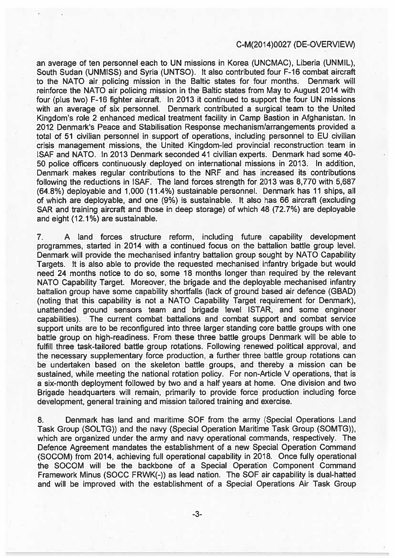## C-M(2014)0027 (DE-OVERVIEW)

an average of ten personnel each to UN missions in Korea (UNCMAC), Liberia (UNMIL), South Sudan (UNMISS) and Syria (UNTSO). It also contributed four F-16 combat aircraft to the NATO air policing mission in the Baltic states far four months. Denmark will reinforce the NATO air policing mission in the Baltic states from May to August 2014 with four (plus two) F-16 fighter aircraft. in 2013 it continued to suppor<sup>t</sup> the four UN missions with an average of six personnel. Denmark contributed <sup>a</sup> surgical team to the United Kingdom's role 2 enhanced medical treatment facility in Camp Bastion in Afghanistan. In 2012 Denmark's Peace and Stabilisation Response mechanism/arrangements provided <sup>a</sup> total of 51 civilian personnel in suppor<sup>t</sup> of operations, including personnel to EU civilian crisis managemen<sup>t</sup> missions, the United Kingdom-led provincial reconstruction team in ISAF änd NATO. In 2013 Denmark seconded 41 civilian experts. Denmark had some 40- 50 police officers continuously deployed on international missions in 2013. In addition, Denmark makes regular contributions to the NRF and has increased its contributions following the reductions in ISAF. The land forces strength for 2013 was 8,770 with 5,687 (64.8%) deployable and 1,000 (11.4%) sustainable personnel. Denmark has 11 ships, all of which are deployable, and one (9%) is sustainable. It also has 66 aircraft (excluding SAR and training aircraft and those in deep storage) of which 48 (72.7%) are deployable and eight (12.1%) are sustainable.

7. A land forces structure reform, including future capability development programmes, started in 2014 with <sup>a</sup> continued focus on the battalion battie group level. Denmark will provide the mechanised infantry baffalion group sought by NATO Capability Targets. It is also able to provide the requested mechanised infantry brigade but would need 24 months notice to do so, some 18 months longer than required by the relevant NATO Capability Target. Moreover, the brigade and the deployable mechanised infantry battalion group have some capability shortfails (lack of ground based air defence (GBAD) (noting that this capability is not <sup>a</sup> NATO Capability Target requirement for Denmark), unattended ground sensors team and brigade level ISTAR, and some engineer capabilities). The current combat battalions and combat suppor<sup>t</sup> and combat service suppor<sup>t</sup> units are to be reconfigured into three larger standing core battie groups with one battle group on high-readiness. From these three battle groups Denmark will be able to fulfill three task-tailored battle group rotations. Following renewed political approval, and the necessary supplementary force production, <sup>a</sup> further three battie group rotations can be undertaken based on the skeleton battle groups, and thereby a mission can be sustained, while meeting the national rotation policy. For non-Article V operations, that is <sup>a</sup> six-month depioyment followed by two and <sup>a</sup> half years at home. One division and two Brigade headquarters will remain, primarily to provide force production including force development, general training and mission tailored training and exercise.

8. Denmark has land and maritime SOF from the army (Special Operations Land Task Group (SOLTG)) and the navy (Special Operation Maritime Task Group (SOMTG)), which are organized under the army and navy operational commands, respectively. The Defence Agreement mandates the establishment of <sup>a</sup> new Special Operation Command (SOCOM) from 2014, achieving full operational capability in 2018. Once fully operational the SOCOM will be the backbone of <sup>a</sup> Special Operation Component Command Framework Minus (SOCC FRWK(-)) as lead nation. The SOF air capability is dual-hatted and will be improved with the establishment of <sup>a</sup> Special Operations Air Task Group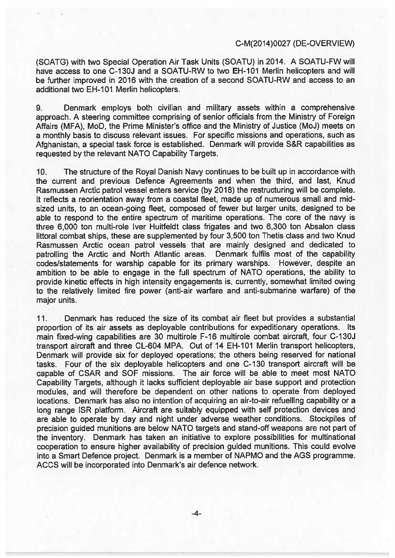### C-M(2014)0027 (DE-OVERVIEV'

(SOATG) with two Special Operation Air Task Units (SOATU) in 2014. A SOATU-FW will have access to one C-130J and a SOATU-RW to two EH-101 Merlin helicopters and will be further improved in 2016 with the creation of a second SOATU-RW and access to an additional two EH-101 Merlin helicopters.

9. Denmark employs both civilian and military assets within <sup>a</sup> comprehensive approach. A steering committee comprising of senior officials from the Ministry of Foreign Affairs (MFA), MoD, the Prime Minister's office and the Ministry of Justice (M0J) meets on <sup>a</sup> monthly basis to discuss relevant issues. For specific missions and operations, such as Afghanistan, <sup>a</sup> special task force is established. Denmark will provide S&R capabilities as requested by the relevant NATO Capability Targets.

10. The structure of the Royal Danish Navy continues to be built up in accordance with the current and previous Defence Agreements and when the third, and last, Knud Rasmussen Arctic patrol vessel enters service (by 2018) the restructuring will be complete It reflects a reorientation away from a coastal fleet, made up of numerous small and midsized units, to an ocean-going fleet, composed of fewer but larger units, designed to be able to respond to the entire spectrum of maritime operations. The core of the navy is three 6,000 ton multi-role Iver Huiffeldt class frigates and two 6,300 ton Absalon class littoral combat ships, these are supplemented by four 3,500 ton Thetis class and two Knud Rasmussen Arctic ocean patrol vessels that are mainly designed and dedicated to patrolling the Arctic and North Atlantic areas. Denmark fulfils most of the capability codes/statements for warship capable for its primary warships. However, despite an ambition to be able to engage in the full spectrum of NATO operations, the ability to provide kinetic effects in high intensity engagements is, currently, somewhat limited owing to the relatively limited fire power (anti-air warfare and anti-submarine warfare) of the major units.

11 Denmark has reduced the size of its combat air fleet but provides <sup>a</sup> substantial proportion of its air assets as deployable contributions for expeditionary operations. Its main fixed-wing capabilities are 30 multirole F-16 multirole combat aircraft, four C-130J transport aircraft and three CL-604 MPA. Out of 14 EH-101 Merlin transport helicopters, Denmark will provide six for deployed operations, the others being reserved for national tasks. Four of the six deployable helicopters and one C-130 transport aircraft will be capable of CSAR and SOF missions. The air force will be able to meet most NATO Capability Targets, although it Iacks sufficient deployable air base suppor<sup>t</sup> and protection modules, and will therefore be dependent on other nations to operate from deployed locations. Denmark has also no intention of acquiring an air-to-air refuelling capability or <sup>a</sup> long range ISR platform. Aircraft are suitably equipped with self protection devices and are able to operate by day and night under adverse weather conditions. Stockpiles of precision guided munitions are below NATO targets and stand-off weapons are not par<sup>t</sup> of the inventory. Denmark has taken an initiative to explore possibilities for multinational cooperation to ensure higher availability of precision guided munitions. This could evolve into <sup>a</sup> Smart Defence project. Denmark is <sup>a</sup> member of NAPMO and the AGS programme. ACCS will be incorporated into Denmark's air defence network.